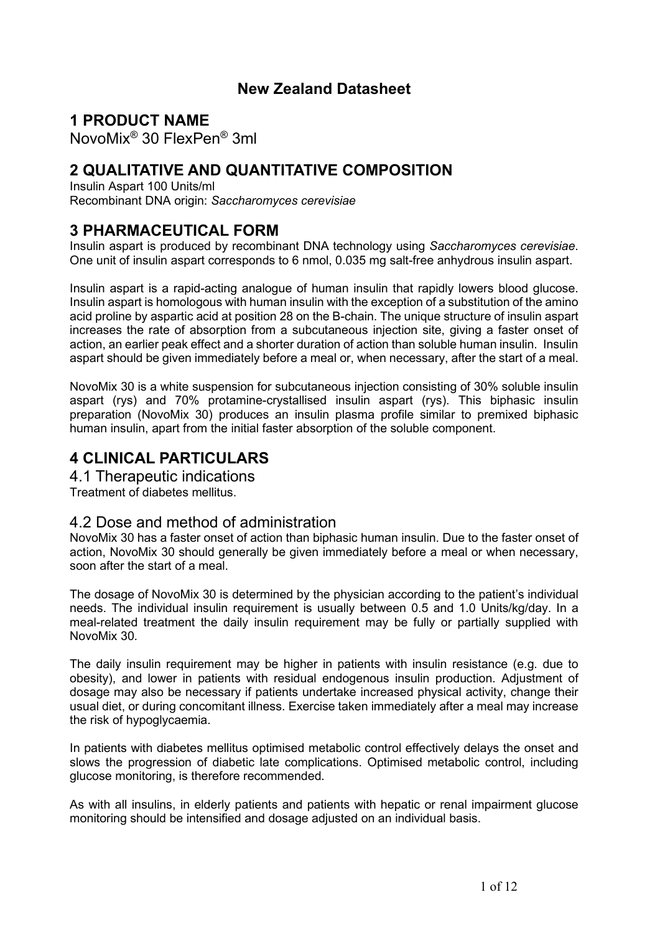## **New Zealand Datasheet**

## **1 PRODUCT NAME**

NovoMix® 30 FlexPen® 3ml

## **2 QUALITATIVE AND QUANTITATIVE COMPOSITION**

Insulin Aspart 100 Units/ml Recombinant DNA origin: *Saccharomyces cerevisiae*

## **3 PHARMACEUTICAL FORM**

Insulin aspart is produced by recombinant DNA technology using *Saccharomyces cerevisiae*. One unit of insulin aspart corresponds to 6 nmol, 0.035 mg salt-free anhydrous insulin aspart.

Insulin aspart is a rapid-acting analogue of human insulin that rapidly lowers blood glucose. Insulin aspart is homologous with human insulin with the exception of a substitution of the amino acid proline by aspartic acid at position 28 on the B-chain. The unique structure of insulin aspart increases the rate of absorption from a subcutaneous injection site, giving a faster onset of action, an earlier peak effect and a shorter duration of action than soluble human insulin. Insulin aspart should be given immediately before a meal or, when necessary, after the start of a meal.

NovoMix 30 is a white suspension for subcutaneous injection consisting of 30% soluble insulin aspart (rys) and 70% protamine-crystallised insulin aspart (rys). This biphasic insulin preparation (NovoMix 30) produces an insulin plasma profile similar to premixed biphasic human insulin, apart from the initial faster absorption of the soluble component.

## **4 CLINICAL PARTICULARS**

4.1 Therapeutic indications Treatment of diabetes mellitus.

## 4.2 Dose and method of administration

NovoMix 30 has a faster onset of action than biphasic human insulin. Due to the faster onset of action, NovoMix 30 should generally be given immediately before a meal or when necessary, soon after the start of a meal.

The dosage of NovoMix 30 is determined by the physician according to the patient's individual needs. The individual insulin requirement is usually between 0.5 and 1.0 Units/kg/day. In a meal-related treatment the daily insulin requirement may be fully or partially supplied with NovoMix 30.

The daily insulin requirement may be higher in patients with insulin resistance (e.g. due to obesity), and lower in patients with residual endogenous insulin production. Adjustment of dosage may also be necessary if patients undertake increased physical activity, change their usual diet, or during concomitant illness. Exercise taken immediately after a meal may increase the risk of hypoglycaemia.

In patients with diabetes mellitus optimised metabolic control effectively delays the onset and slows the progression of diabetic late complications. Optimised metabolic control, including glucose monitoring, is therefore recommended.

As with all insulins, in elderly patients and patients with hepatic or renal impairment glucose monitoring should be intensified and dosage adjusted on an individual basis.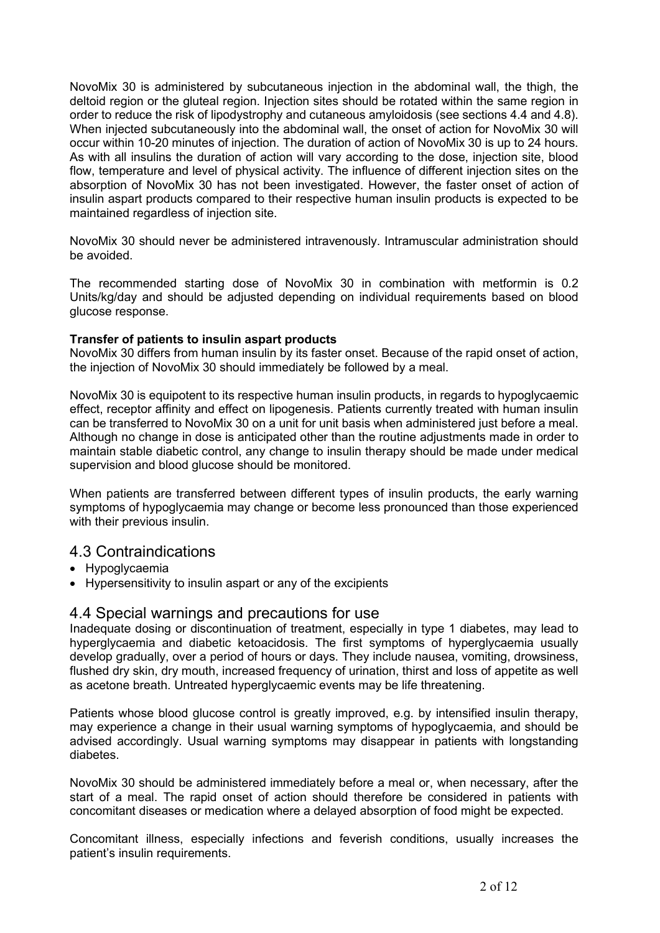NovoMix 30 is administered by subcutaneous injection in the abdominal wall, the thigh, the deltoid region or the gluteal region. Injection sites should be rotated within the same region in order to reduce the risk of lipodystrophy and cutaneous amyloidosis (see sections 4.4 and 4.8). When injected subcutaneously into the abdominal wall, the onset of action for NovoMix 30 will occur within 10-20 minutes of injection. The duration of action of NovoMix 30 is up to 24 hours. As with all insulins the duration of action will vary according to the dose, injection site, blood flow, temperature and level of physical activity. The influence of different injection sites on the absorption of NovoMix 30 has not been investigated. However, the faster onset of action of insulin aspart products compared to their respective human insulin products is expected to be maintained regardless of injection site.

NovoMix 30 should never be administered intravenously. Intramuscular administration should be avoided.

The recommended starting dose of NovoMix 30 in combination with metformin is 0.2 Units/kg/day and should be adjusted depending on individual requirements based on blood glucose response.

#### **Transfer of patients to insulin aspart products**

NovoMix 30 differs from human insulin by its faster onset. Because of the rapid onset of action, the injection of NovoMix 30 should immediately be followed by a meal.

NovoMix 30 is equipotent to its respective human insulin products, in regards to hypoglycaemic effect, receptor affinity and effect on lipogenesis. Patients currently treated with human insulin can be transferred to NovoMix 30 on a unit for unit basis when administered just before a meal. Although no change in dose is anticipated other than the routine adjustments made in order to maintain stable diabetic control, any change to insulin therapy should be made under medical supervision and blood glucose should be monitored.

When patients are transferred between different types of insulin products, the early warning symptoms of hypoglycaemia may change or become less pronounced than those experienced with their previous insulin.

## 4.3 Contraindications

- Hypoglycaemia
- Hypersensitivity to insulin aspart or any of the excipients

## 4.4 Special warnings and precautions for use

Inadequate dosing or discontinuation of treatment, especially in type 1 diabetes, may lead to hyperglycaemia and diabetic ketoacidosis. The first symptoms of hyperglycaemia usually develop gradually, over a period of hours or days. They include nausea, vomiting, drowsiness, flushed dry skin, dry mouth, increased frequency of urination, thirst and loss of appetite as well as acetone breath. Untreated hyperglycaemic events may be life threatening.

Patients whose blood glucose control is greatly improved, e.g. by intensified insulin therapy, may experience a change in their usual warning symptoms of hypoglycaemia, and should be advised accordingly. Usual warning symptoms may disappear in patients with longstanding diabetes.

NovoMix 30 should be administered immediately before a meal or, when necessary, after the start of a meal. The rapid onset of action should therefore be considered in patients with concomitant diseases or medication where a delayed absorption of food might be expected.

Concomitant illness, especially infections and feverish conditions, usually increases the patient's insulin requirements.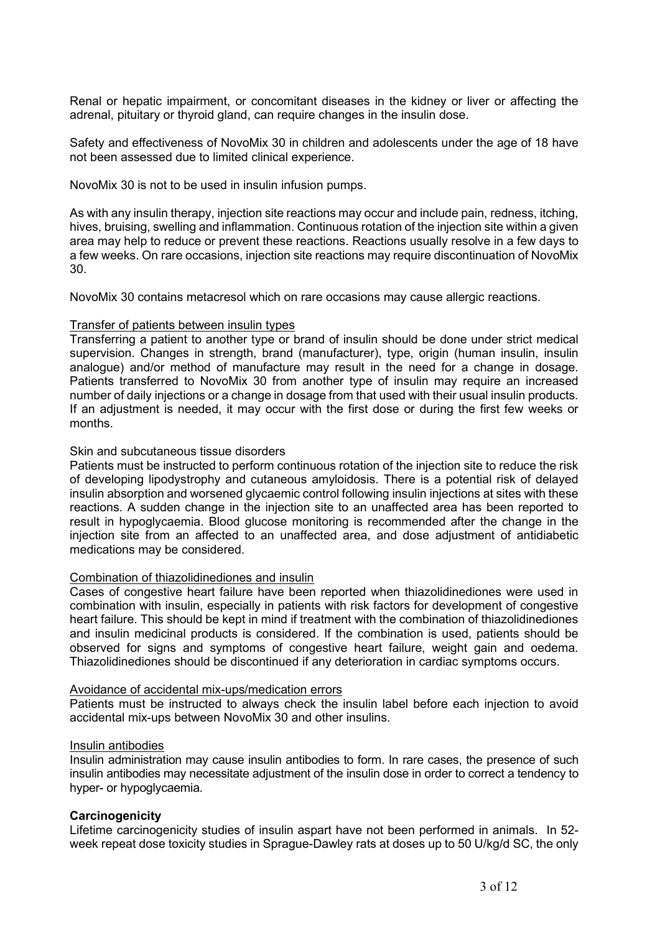Renal or hepatic impairment, or concomitant diseases in the kidney or liver or affecting the adrenal, pituitary or thyroid gland, can require changes in the insulin dose.

Safety and effectiveness of NovoMix 30 in children and adolescents under the age of 18 have not been assessed due to limited clinical experience.

NovoMix 30 is not to be used in insulin infusion pumps.

As with any insulin therapy, injection site reactions may occur and include pain, redness, itching, hives, bruising, swelling and inflammation. Continuous rotation of the injection site within a given area may help to reduce or prevent these reactions. Reactions usually resolve in a few days to a few weeks. On rare occasions, injection site reactions may require discontinuation of NovoMix 30.

NovoMix 30 contains metacresol which on rare occasions may cause allergic reactions.

#### Transfer of patients between insulin types

Transferring a patient to another type or brand of insulin should be done under strict medical supervision. Changes in strength, brand (manufacturer), type, origin (human insulin, insulin analogue) and/or method of manufacture may result in the need for a change in dosage. Patients transferred to NovoMix 30 from another type of insulin may require an increased number of daily injections or a change in dosage from that used with their usual insulin products. If an adjustment is needed, it may occur with the first dose or during the first few weeks or months.

#### Skin and subcutaneous tissue disorders

Patients must be instructed to perform continuous rotation of the injection site to reduce the risk of developing lipodystrophy and cutaneous amyloidosis. There is a potential risk of delayed insulin absorption and worsened glycaemic control following insulin injections at sites with these reactions. A sudden change in the injection site to an unaffected area has been reported to result in hypoglycaemia. Blood glucose monitoring is recommended after the change in the injection site from an affected to an unaffected area, and dose adjustment of antidiabetic medications may be considered.

#### Combination of thiazolidinediones and insulin

Cases of congestive heart failure have been reported when thiazolidinediones were used in combination with insulin, especially in patients with risk factors for development of congestive heart failure. This should be kept in mind if treatment with the combination of thiazolidinediones and insulin medicinal products is considered. If the combination is used, patients should be observed for signs and symptoms of congestive heart failure, weight gain and oedema. Thiazolidinediones should be discontinued if any deterioration in cardiac symptoms occurs.

#### Avoidance of accidental mix-ups/medication errors

Patients must be instructed to always check the insulin label before each injection to avoid accidental mix-ups between NovoMix 30 and other insulins.

#### Insulin antibodies

Insulin administration may cause insulin antibodies to form. In rare cases, the presence of such insulin antibodies may necessitate adjustment of the insulin dose in order to correct a tendency to hyper- or hypoglycaemia.

#### **Carcinogenicity**

Lifetime carcinogenicity studies of insulin aspart have not been performed in animals. In 52 week repeat dose toxicity studies in Sprague-Dawley rats at doses up to 50 U/kg/d SC, the only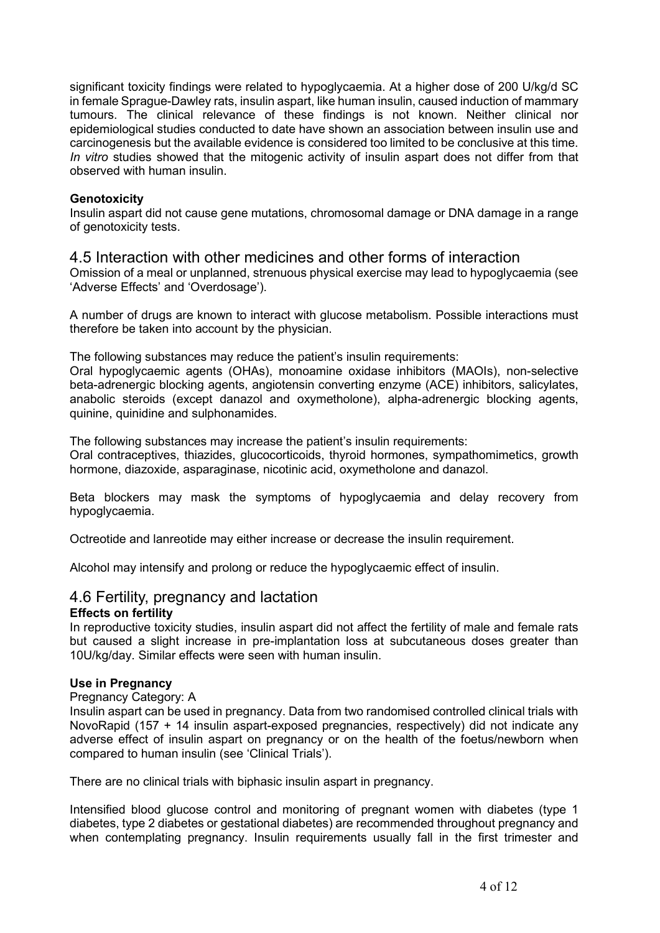significant toxicity findings were related to hypoglycaemia. At a higher dose of 200 U/kg/d SC in female Sprague-Dawley rats, insulin aspart, like human insulin, caused induction of mammary tumours. The clinical relevance of these findings is not known. Neither clinical nor epidemiological studies conducted to date have shown an association between insulin use and carcinogenesis but the available evidence is considered too limited to be conclusive at this time. *In vitro* studies showed that the mitogenic activity of insulin aspart does not differ from that observed with human insulin.

#### **Genotoxicity**

Insulin aspart did not cause gene mutations, chromosomal damage or DNA damage in a range of genotoxicity tests.

## 4.5 Interaction with other medicines and other forms of interaction

Omission of a meal or unplanned, strenuous physical exercise may lead to hypoglycaemia (see 'Adverse Effects' and 'Overdosage').

A number of drugs are known to interact with glucose metabolism. Possible interactions must therefore be taken into account by the physician.

The following substances may reduce the patient's insulin requirements:

Oral hypoglycaemic agents (OHAs), monoamine oxidase inhibitors (MAOIs), non-selective beta-adrenergic blocking agents, angiotensin converting enzyme (ACE) inhibitors, salicylates, anabolic steroids (except danazol and oxymetholone), alpha-adrenergic blocking agents, quinine, quinidine and sulphonamides.

The following substances may increase the patient's insulin requirements:

Oral contraceptives, thiazides, glucocorticoids, thyroid hormones, sympathomimetics, growth hormone, diazoxide, asparaginase, nicotinic acid, oxymetholone and danazol.

Beta blockers may mask the symptoms of hypoglycaemia and delay recovery from hypoglycaemia.

Octreotide and lanreotide may either increase or decrease the insulin requirement.

Alcohol may intensify and prolong or reduce the hypoglycaemic effect of insulin.

## 4.6 Fertility, pregnancy and lactation

#### **Effects on fertility**

In reproductive toxicity studies, insulin aspart did not affect the fertility of male and female rats but caused a slight increase in pre-implantation loss at subcutaneous doses greater than 10U/kg/day. Similar effects were seen with human insulin.

#### **Use in Pregnancy**

#### Pregnancy Category: A

Insulin aspart can be used in pregnancy. Data from two randomised controlled clinical trials with NovoRapid (157 + 14 insulin aspart-exposed pregnancies, respectively) did not indicate any adverse effect of insulin aspart on pregnancy or on the health of the foetus/newborn when compared to human insulin (see 'Clinical Trials').

There are no clinical trials with biphasic insulin aspart in pregnancy.

Intensified blood glucose control and monitoring of pregnant women with diabetes (type 1 diabetes, type 2 diabetes or gestational diabetes) are recommended throughout pregnancy and when contemplating pregnancy. Insulin requirements usually fall in the first trimester and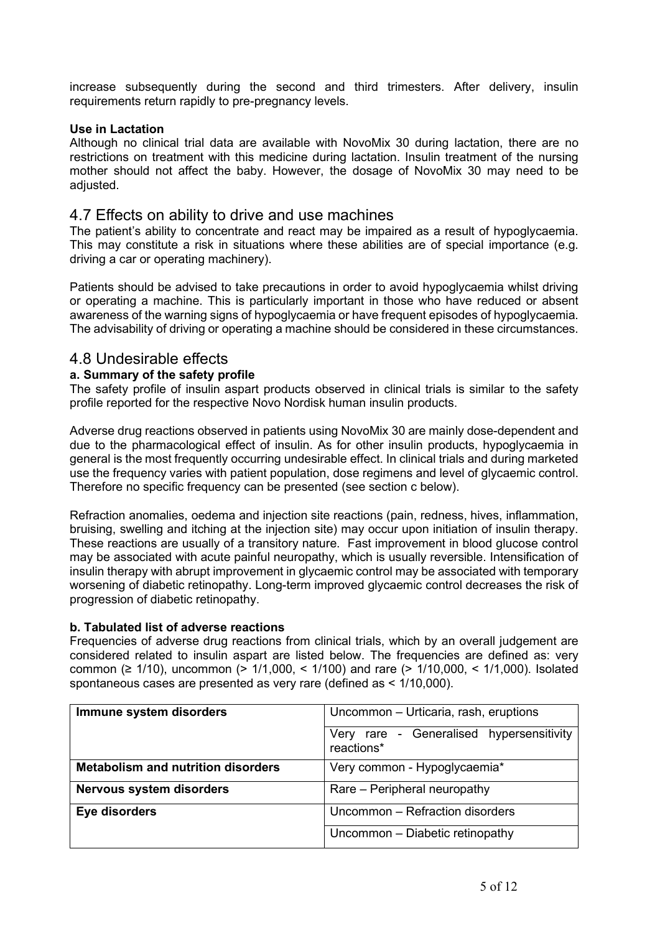increase subsequently during the second and third trimesters. After delivery, insulin requirements return rapidly to pre-pregnancy levels.

#### **Use in Lactation**

Although no clinical trial data are available with NovoMix 30 during lactation, there are no restrictions on treatment with this medicine during lactation. Insulin treatment of the nursing mother should not affect the baby. However, the dosage of NovoMix 30 may need to be adjusted.

## 4.7 Effects on ability to drive and use machines

The patient's ability to concentrate and react may be impaired as a result of hypoglycaemia. This may constitute a risk in situations where these abilities are of special importance (e.g. driving a car or operating machinery).

Patients should be advised to take precautions in order to avoid hypoglycaemia whilst driving or operating a machine. This is particularly important in those who have reduced or absent awareness of the warning signs of hypoglycaemia or have frequent episodes of hypoglycaemia. The advisability of driving or operating a machine should be considered in these circumstances.

## 4.8 Undesirable effects

### **a. Summary of the safety profile**

The safety profile of insulin aspart products observed in clinical trials is similar to the safety profile reported for the respective Novo Nordisk human insulin products.

Adverse drug reactions observed in patients using NovoMix 30 are mainly dose-dependent and due to the pharmacological effect of insulin. As for other insulin products, hypoglycaemia in general is the most frequently occurring undesirable effect. In clinical trials and during marketed use the frequency varies with patient population, dose regimens and level of glycaemic control. Therefore no specific frequency can be presented (see section c below).

Refraction anomalies, oedema and injection site reactions (pain, redness, hives, inflammation, bruising, swelling and itching at the injection site) may occur upon initiation of insulin therapy. These reactions are usually of a transitory nature. Fast improvement in blood glucose control may be associated with acute painful neuropathy, which is usually reversible. Intensification of insulin therapy with abrupt improvement in glycaemic control may be associated with temporary worsening of diabetic retinopathy. Long-term improved glycaemic control decreases the risk of progression of diabetic retinopathy.

#### **b. Tabulated list of adverse reactions**

Frequencies of adverse drug reactions from clinical trials, which by an overall judgement are considered related to insulin aspart are listed below. The frequencies are defined as: very common (≥ 1/10), uncommon (> 1/1,000, < 1/100) and rare (> 1/10,000, < 1/1,000). Isolated spontaneous cases are presented as very rare (defined as < 1/10,000).

| Immune system disorders                   | Uncommon - Urticaria, rash, eruptions                  |  |
|-------------------------------------------|--------------------------------------------------------|--|
|                                           | Very rare - Generalised hypersensitivity<br>reactions* |  |
| <b>Metabolism and nutrition disorders</b> | Very common - Hypoglycaemia*                           |  |
| <b>Nervous system disorders</b>           | Rare – Peripheral neuropathy                           |  |
| Eye disorders                             | Uncommon - Refraction disorders                        |  |
|                                           | Uncommon - Diabetic retinopathy                        |  |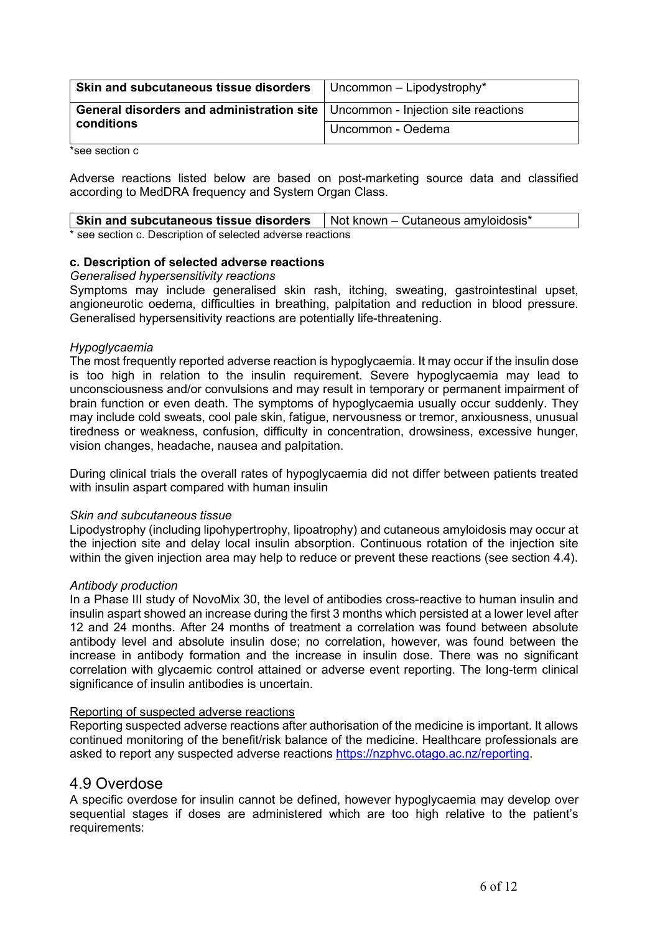| Skin and subcutaneous tissue disorders                                          | $\vert$ Uncommon – Lipodystrophy* |  |
|---------------------------------------------------------------------------------|-----------------------------------|--|
| General disorders and administration site   Uncommon - Injection site reactions |                                   |  |
| conditions                                                                      | Uncommon - Oedema                 |  |

\*see section c

Adverse reactions listed below are based on post-marketing source data and classified according to MedDRA frequency and System Organ Class.

| Skin and subcutaneous tissue disorders                     | $\vert$ Not known – Cutaneous amyloidosis* |
|------------------------------------------------------------|--------------------------------------------|
| * see section c. Description of selected adverse reactions |                                            |

#### **c. Description of selected adverse reactions**

#### *Generalised hypersensitivity reactions*

Symptoms may include generalised skin rash, itching, sweating, gastrointestinal upset, angioneurotic oedema, difficulties in breathing, palpitation and reduction in blood pressure. Generalised hypersensitivity reactions are potentially life-threatening.

#### *Hypoglycaemia*

The most frequently reported adverse reaction is hypoglycaemia. It may occur if the insulin dose is too high in relation to the insulin requirement. Severe hypoglycaemia may lead to unconsciousness and/or convulsions and may result in temporary or permanent impairment of brain function or even death. The symptoms of hypoglycaemia usually occur suddenly. They may include cold sweats, cool pale skin, fatigue, nervousness or tremor, anxiousness, unusual tiredness or weakness, confusion, difficulty in concentration, drowsiness, excessive hunger, vision changes, headache, nausea and palpitation.

During clinical trials the overall rates of hypoglycaemia did not differ between patients treated with insulin aspart compared with human insulin

#### *Skin and subcutaneous tissue*

Lipodystrophy (including lipohypertrophy, lipoatrophy) and cutaneous amyloidosis may occur at the injection site and delay local insulin absorption. Continuous rotation of the injection site within the given injection area may help to reduce or prevent these reactions (see section 4.4).

#### *Antibody production*

In a Phase III study of NovoMix 30, the level of antibodies cross-reactive to human insulin and insulin aspart showed an increase during the first 3 months which persisted at a lower level after 12 and 24 months. After 24 months of treatment a correlation was found between absolute antibody level and absolute insulin dose; no correlation, however, was found between the increase in antibody formation and the increase in insulin dose. There was no significant correlation with glycaemic control attained or adverse event reporting. The long-term clinical significance of insulin antibodies is uncertain.

#### Reporting of suspected adverse reactions

Reporting suspected adverse reactions after authorisation of the medicine is important. It allows continued monitoring of the benefit/risk balance of the medicine. Healthcare professionals are asked to report any suspected adverse reactions [https://nzphvc.otago.ac.nz/reporting.](https://nzphvc.otago.ac.nz/reporting)

## 4.9 Overdose

A specific overdose for insulin cannot be defined, however hypoglycaemia may develop over sequential stages if doses are administered which are too high relative to the patient's requirements: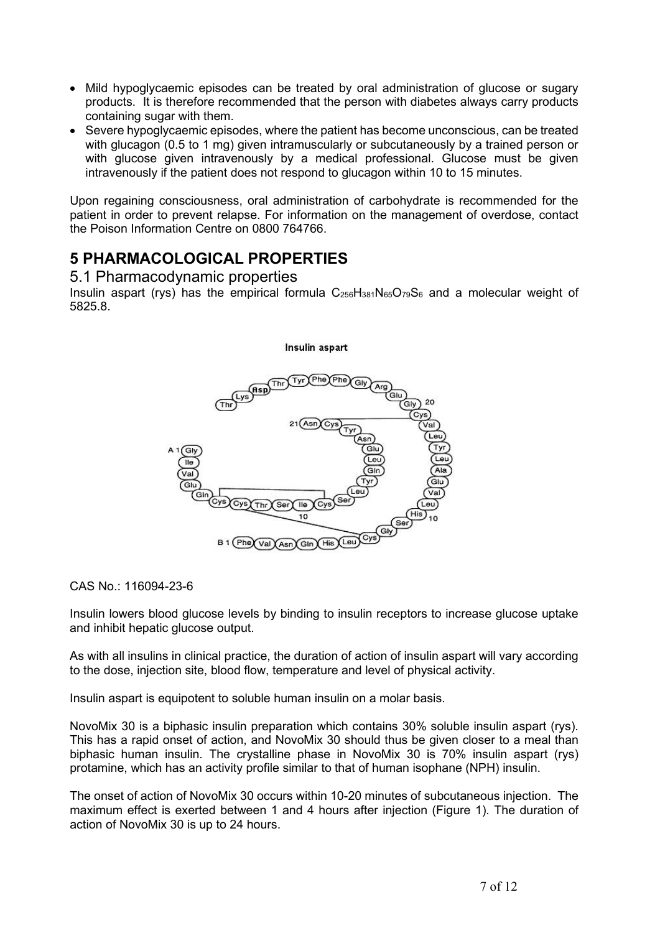- Mild hypoglycaemic episodes can be treated by oral administration of glucose or sugary products. It is therefore recommended that the person with diabetes always carry products containing sugar with them.
- Severe hypoglycaemic episodes, where the patient has become unconscious, can be treated with glucagon (0.5 to 1 mg) given intramuscularly or subcutaneously by a trained person or with glucose given intravenously by a medical professional. Glucose must be given intravenously if the patient does not respond to glucagon within 10 to 15 minutes.

Upon regaining consciousness, oral administration of carbohydrate is recommended for the patient in order to prevent relapse. For information on the management of overdose, contact the Poison Information Centre on 0800 764766.

## **5 PHARMACOLOGICAL PROPERTIES**

## 5.1 Pharmacodynamic properties

Insulin aspart (rys) has the empirical formula  $C_{256}H_{381}N_{65}O_{79}S_6$  and a molecular weight of 5825.8.

Insulin aspart

# $Cys(Thr)$ Sei B 1 (Phe) Val Asn Gin  $His$

CAS No.: 116094-23-6

Insulin lowers blood glucose levels by binding to insulin receptors to increase glucose uptake and inhibit hepatic glucose output.

As with all insulins in clinical practice, the duration of action of insulin aspart will vary according to the dose, injection site, blood flow, temperature and level of physical activity.

Insulin aspart is equipotent to soluble human insulin on a molar basis.

NovoMix 30 is a biphasic insulin preparation which contains 30% soluble insulin aspart (rys). This has a rapid onset of action, and NovoMix 30 should thus be given closer to a meal than biphasic human insulin. The crystalline phase in NovoMix 30 is 70% insulin aspart (rys) protamine, which has an activity profile similar to that of human isophane (NPH) insulin.

The onset of action of NovoMix 30 occurs within 10-20 minutes of subcutaneous injection. The maximum effect is exerted between 1 and 4 hours after injection (Figure 1). The duration of action of NovoMix 30 is up to 24 hours.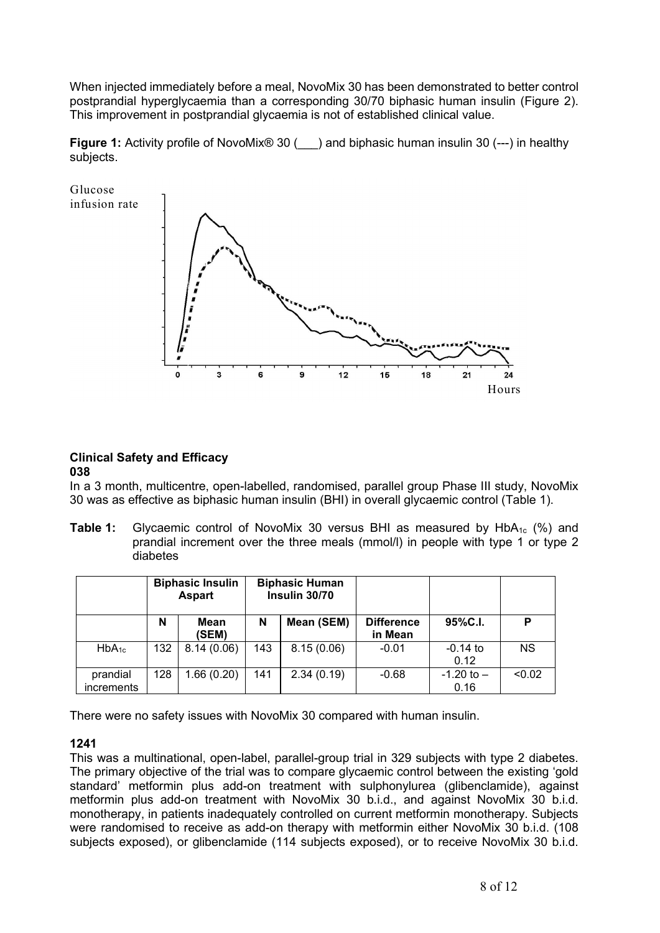When injected immediately before a meal, NovoMix 30 has been demonstrated to better control postprandial hyperglycaemia than a corresponding 30/70 biphasic human insulin (Figure 2). This improvement in postprandial glycaemia is not of established clinical value.

**Figure 1:** Activity profile of NovoMix<sup>®</sup> 30 () and biphasic human insulin 30 (---) in healthy subjects.



#### **Clinical Safety and Efficacy 038**

In a 3 month, multicentre, open-labelled, randomised, parallel group Phase III study, NovoMix 30 was as effective as biphasic human insulin (BHI) in overall glycaemic control (Table 1).

**Table 1:** Givcaemic control of NovoMix 30 versus BHI as measured by HbA<sub>1c</sub> (%) and prandial increment over the three meals (mmol/l) in people with type 1 or type 2 diabetes

|                        |     | <b>Biphasic Insulin</b><br><b>Aspart</b> |     | <b>Biphasic Human</b><br>Insulin 30/70 |                              |                        |           |
|------------------------|-----|------------------------------------------|-----|----------------------------------------|------------------------------|------------------------|-----------|
|                        | N   | Mean<br>(SEM)                            | N   | Mean (SEM)                             | <b>Difference</b><br>in Mean | 95%C.I.                | P         |
| $HbA_{1c}$             | 132 | 8.14(0.06)                               | 143 | 8.15(0.06)                             | $-0.01$                      | $-0.14$ to<br>0.12     | <b>NS</b> |
| prandial<br>increments | 128 | 1.66(0.20)                               | 141 | 2.34(0.19)                             | $-0.68$                      | $-1.20$ to $-$<br>0.16 | < 0.02    |

There were no safety issues with NovoMix 30 compared with human insulin.

## **1241**

This was a multinational, open-label, parallel-group trial in 329 subjects with type 2 diabetes. The primary objective of the trial was to compare glycaemic control between the existing 'gold standard' metformin plus add-on treatment with sulphonylurea (glibenclamide), against metformin plus add-on treatment with NovoMix 30 b.i.d., and against NovoMix 30 b.i.d. monotherapy, in patients inadequately controlled on current metformin monotherapy. Subjects were randomised to receive as add-on therapy with metformin either NovoMix 30 b.i.d. (108 subjects exposed), or glibenclamide (114 subjects exposed), or to receive NovoMix 30 b.i.d.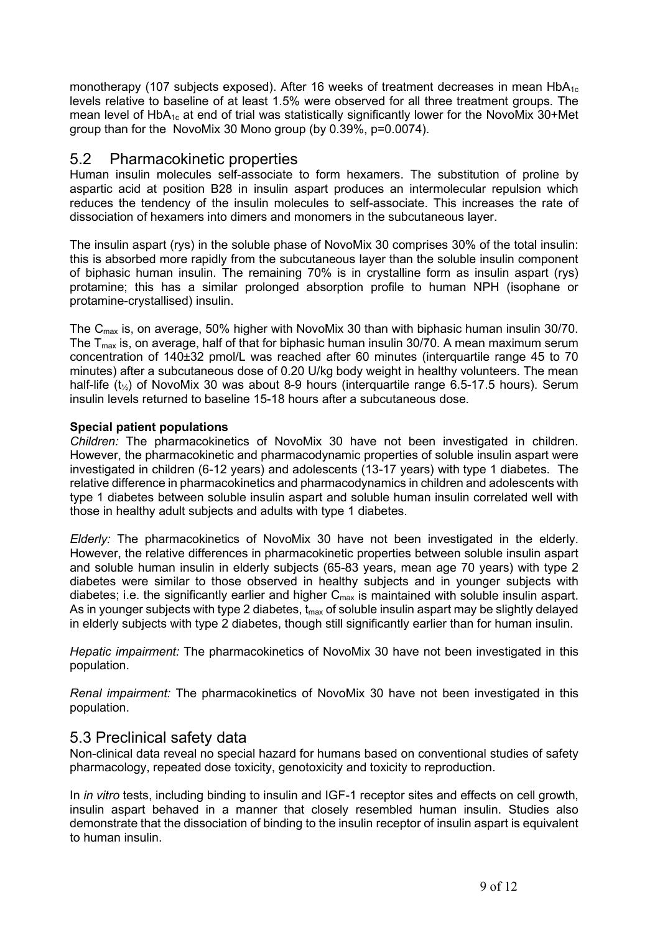monotherapy (107 subjects exposed). After 16 weeks of treatment decreases in mean HbA<sub>1c</sub> levels relative to baseline of at least 1.5% were observed for all three treatment groups. The mean level of  $HbA_{1c}$  at end of trial was statistically significantly lower for the NovoMix 30+Met group than for the NovoMix 30 Mono group (by 0.39%, p=0.0074).

## 5.2 Pharmacokinetic properties

Human insulin molecules self-associate to form hexamers. The substitution of proline by aspartic acid at position B28 in insulin aspart produces an intermolecular repulsion which reduces the tendency of the insulin molecules to self-associate. This increases the rate of dissociation of hexamers into dimers and monomers in the subcutaneous layer.

The insulin aspart (rys) in the soluble phase of NovoMix 30 comprises 30% of the total insulin: this is absorbed more rapidly from the subcutaneous layer than the soluble insulin component of biphasic human insulin. The remaining 70% is in crystalline form as insulin aspart (rys) protamine; this has a similar prolonged absorption profile to human NPH (isophane or protamine-crystallised) insulin.

The  $C_{\text{max}}$  is, on average, 50% higher with NovoMix 30 than with biphasic human insulin 30/70. The  $T_{max}$  is, on average, half of that for biphasic human insulin 30/70. A mean maximum serum concentration of 140±32 pmol/L was reached after 60 minutes (interquartile range 45 to 70 minutes) after a subcutaneous dose of 0.20 U/kg body weight in healthy volunteers. The mean half-life (t½) of NovoMix 30 was about 8-9 hours (interquartile range 6.5-17.5 hours). Serum insulin levels returned to baseline 15-18 hours after a subcutaneous dose.

### **Special patient populations**

*Children:* The pharmacokinetics of NovoMix 30 have not been investigated in children. However, the pharmacokinetic and pharmacodynamic properties of soluble insulin aspart were investigated in children (6-12 years) and adolescents (13-17 years) with type 1 diabetes. The relative difference in pharmacokinetics and pharmacodynamics in children and adolescents with type 1 diabetes between soluble insulin aspart and soluble human insulin correlated well with those in healthy adult subjects and adults with type 1 diabetes.

*Elderly:* The pharmacokinetics of NovoMix 30 have not been investigated in the elderly. However, the relative differences in pharmacokinetic properties between soluble insulin aspart and soluble human insulin in elderly subjects (65-83 years, mean age 70 years) with type 2 diabetes were similar to those observed in healthy subjects and in younger subjects with diabetes; i.e. the significantly earlier and higher  $C_{\text{max}}$  is maintained with soluble insulin aspart. As in younger subjects with type 2 diabetes,  $t_{max}$  of soluble insulin aspart may be slightly delayed in elderly subjects with type 2 diabetes, though still significantly earlier than for human insulin.

*Hepatic impairment:* The pharmacokinetics of NovoMix 30 have not been investigated in this population.

*Renal impairment:* The pharmacokinetics of NovoMix 30 have not been investigated in this population.

## 5.3 Preclinical safety data

Non-clinical data reveal no special hazard for humans based on conventional studies of safety pharmacology, repeated dose toxicity, genotoxicity and toxicity to reproduction.

In *in vitro* tests, including binding to insulin and IGF-1 receptor sites and effects on cell growth, insulin aspart behaved in a manner that closely resembled human insulin. Studies also demonstrate that the dissociation of binding to the insulin receptor of insulin aspart is equivalent to human insulin.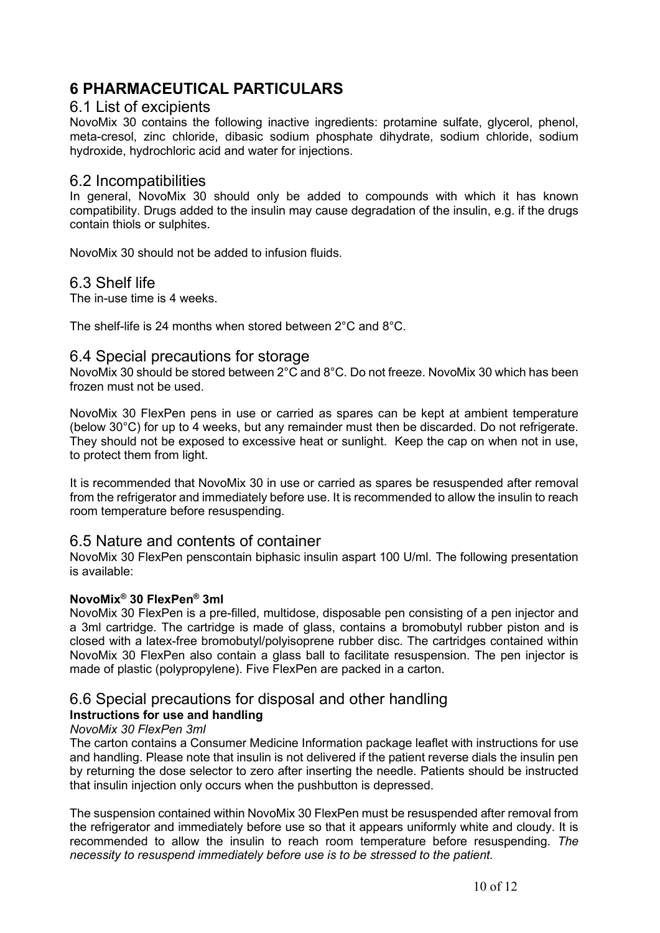## **6 PHARMACEUTICAL PARTICULARS**

### 6.1 List of excipients

NovoMix 30 contains the following inactive ingredients: protamine sulfate, glycerol, phenol, meta-cresol, zinc chloride, dibasic sodium phosphate dihydrate, sodium chloride, sodium hydroxide, hydrochloric acid and water for injections.

## 6.2 Incompatibilities

In general, NovoMix 30 should only be added to compounds with which it has known compatibility. Drugs added to the insulin may cause degradation of the insulin, e.g. if the drugs contain thiols or sulphites.

NovoMix 30 should not be added to infusion fluids.

## 6.3 Shelf life

The in-use time is 4 weeks.

The shelf-life is 24 months when stored between 2°C and 8°C.

## 6.4 Special precautions for storage

NovoMix 30 should be stored between 2°C and 8°C. Do not freeze. NovoMix 30 which has been frozen must not be used.

NovoMix 30 FlexPen pens in use or carried as spares can be kept at ambient temperature (below 30°C) for up to 4 weeks, but any remainder must then be discarded. Do not refrigerate. They should not be exposed to excessive heat or sunlight. Keep the cap on when not in use, to protect them from light.

It is recommended that NovoMix 30 in use or carried as spares be resuspended after removal from the refrigerator and immediately before use. It is recommended to allow the insulin to reach room temperature before resuspending.

## 6.5 Nature and contents of container

NovoMix 30 FlexPen penscontain biphasic insulin aspart 100 U/ml. The following presentation is available:

#### **NovoMix® 30 FlexPen® 3ml**

NovoMix 30 FlexPen is a pre-filled, multidose, disposable pen consisting of a pen injector and a 3ml cartridge. The cartridge is made of glass, contains a bromobutyl rubber piston and is closed with a latex-free bromobutyl/polyisoprene rubber disc. The cartridges contained within NovoMix 30 FlexPen also contain a glass ball to facilitate resuspension. The pen injector is made of plastic (polypropylene). Five FlexPen are packed in a carton.

## 6.6 Special precautions for disposal and other handling

## **Instructions for use and handling**

### *NovoMix 30 FlexPen 3ml*

The carton contains a Consumer Medicine Information package leaflet with instructions for use and handling. Please note that insulin is not delivered if the patient reverse dials the insulin pen by returning the dose selector to zero after inserting the needle. Patients should be instructed that insulin injection only occurs when the pushbutton is depressed.

The suspension contained within NovoMix 30 FlexPen must be resuspended after removal from the refrigerator and immediately before use so that it appears uniformly white and cloudy. It is recommended to allow the insulin to reach room temperature before resuspending. *The necessity to resuspend immediately before use is to be stressed to the patient.*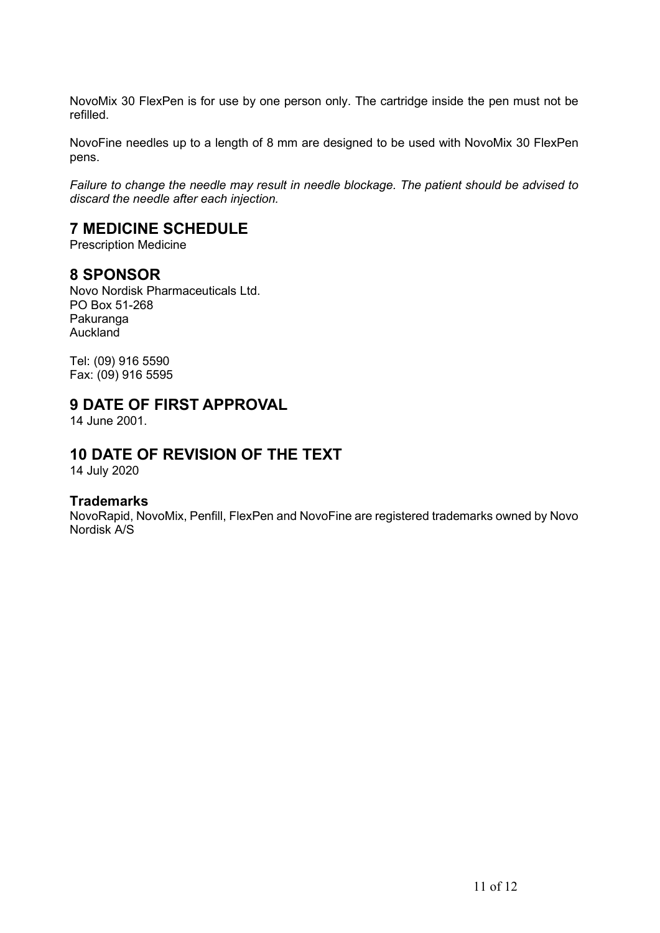NovoMix 30 FlexPen is for use by one person only. The cartridge inside the pen must not be refilled.

NovoFine needles up to a length of 8 mm are designed to be used with NovoMix 30 FlexPen pens.

*Failure to change the needle may result in needle blockage. The patient should be advised to discard the needle after each injection.*

## **7 MEDICINE SCHEDULE**

Prescription Medicine

## **8 SPONSOR**

Novo Nordisk Pharmaceuticals Ltd. PO Box 51-268 Pakuranga Auckland

Tel: (09) 916 5590 Fax: (09) 916 5595

## **9 DATE OF FIRST APPROVAL**

14 June 2001.

## **10 DATE OF REVISION OF THE TEXT**

14 July 2020

## **Trademarks**

NovoRapid, NovoMix, Penfill, FlexPen and NovoFine are registered trademarks owned by Novo Nordisk A/S